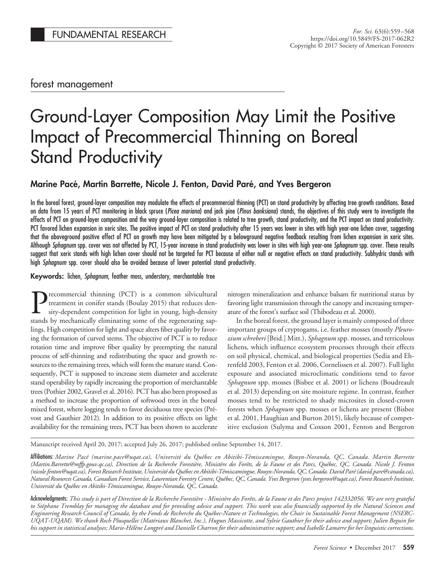# forest management

# Ground-Layer Composition May Limit the Positive Impact of Precommercial Thinning on Boreal **Stand Productivity**

# **Marine Pace´, Martin Barrette, Nicole J. Fenton, David Pare´, and Yves Bergeron**

In the boreal forest, ground-layer composition may modulate the effects of precommercial thinning (PCT) on stand productivity by affecting tree growth conditions. Based on data from 15 years of PCT monitoring in black spruce (*Picea mariana*) and jack pine (*Pinus banksiana*) stands, the objectives of this study were to investigate the effects of PCT on ground-layer composition and the way ground-layer composition is related to tree growth, stand productivity, and the PCT impact on stand productivity. PCT favored lichen expansion in xeric sites. The positive impact of PCT on stand productivity after 15 years was lower in sites with high year-one lichen cover, suggesting that the aboveground positive effect of PCT on growth may have been mitigated by a belowground negative feedback resulting from lichen expansion in xeric sites. Although *Sphagnum* spp. cover was not affected by PCT, 15-year increase in stand productivity was lower in sites with high year-one *Sphagnum* spp. cover. These results suggest that xeric stands with high lichen cover should not be targeted for PCT because of either null or negative effects on stand productivity. Subhydric stands with high *Sphagnum* spp. cover should also be avoided because of lower potential stand productivity.

## **Keywords:** lichen, *Sphagnum*, feather moss, understory, merchantable tree

Precommercial thinning (PCT) is a common silvicultural treatment in conifer stands (Boulay 2015) that reduces density-dependent competition for light in young, high-density stands by mechanically eliminating some of the regenerating saplings. High competition for light and space alters fiber quality by favoring the formation of curved stems. The objective of PCT is to reduce rotation time and improve fiber quality by preempting the natural process of self-thinning and redistributing the space and growth resources to the remaining trees, which will form the mature stand. Consequently, PCT is supposed to increase stem diameter and accelerate stand operability by rapidly increasing the proportion of merchantable trees (Pothier 2002, Gravel et al. 2016). PCT has also been proposed as a method to increase the proportion of softwood trees in the boreal mixed forest, where logging tends to favor deciduous tree species (Prévost and Gauthier 2012). In addition to its positive effects on light availability for the remaining trees, PCT has been shown to accelerate

nitrogen mineralization and enhance balsam fir nutritional status by favoring light transmission through the canopy and increasing temperature of the forest's surface soil (Thibodeau et al. 2000).

In the boreal forest, the ground layer is mainly composed of three important groups of cryptogams, i.e. feather mosses (mostly *Pleurozium schreberi* [Brid.] Mitt.), *Sphagnum* spp. mosses, and terricolous lichens, which influence ecosystem processes through their effects on soil physical, chemical, and biological properties (Sedia and Ehrenfeld 2003, Fenton et al. 2006, Cornelissen et al. 2007). Full light exposure and associated microclimatic conditions tend to favor *Sphagnum* spp. mosses (Bisbee et al. 2001) or lichens (Boudreault et al. 2013) depending on site moisture regime. In contrast, feather mosses tend to be restricted to shady microsites in closed-crown forests when *Sphagnum* spp. mosses or lichens are present (Bisbee et al. 2001, Haughian and Burton 2015), likely because of competitive exclusion (Sulyma and Coxson 2001, Fenton and Bergeron

Manuscript received April 20, 2017; accepted July 26, 2017; published online September 14, 2017.

Affiliations: *Marine Pacé (marine.pace@uqat.ca), Université du Québec en Abitibi-Témiscamingue, Rouyn-Noranda, QC, Canada. Martin Barrette (Martin.Barrette@mffp.gouv.qc.ca), Direction de la Recherche Forestie`re, Ministe`re des Foreˆts, de la Faune et des Parcs, Que´bec, QC, Canada. Nicole J. Fenton (nicole.fenton@uqat.ca), Forest Research Institute, Universite´ du Que´bec en Abitibi-Te´miscamingue, Rouyn-Noranda, QC, Canada. David Pare´ (david.pare@canada.ca), Natural Resources Canada, Canadian Forest Service, Laurentian Forestry Centre, Que´bec, QC, Canada. Yves Bergeron (yves.bergeron@uqat.ca), Forest Research Institute, Universite´ du Que´bec en Abitibi-Te´miscamingue, Rouyn-Noranda, QC, Canada.*

Acknowledgments: *This study is part of Direction de la Recherche Forestie`re - Ministe`re des Foreˆts, de la Faune et des Parcs project 142332056. We are very grateful to Ste´phane Tremblay for managing the database and for providing advice and support. This work was also financially supported by the Natural Sciences and* Engineering Research Council of Canada, by the Fonds de Recherche du Québec-Nature et Technologies, the Chair in Sustainable Forest Management (NSERC-*UQAT-UQAM). We thank Roch Plusquellec (Mate´riaux Blanchet, Inc.), Hugues Massicotte, and Sylvie Gauthier for their advice and support; Julien Beguin for* his support in statistical analyses; Marie-Hélène Longpré and Danielle Charron for their administrative support; and Isabelle Lamarre for her linguistic corrections.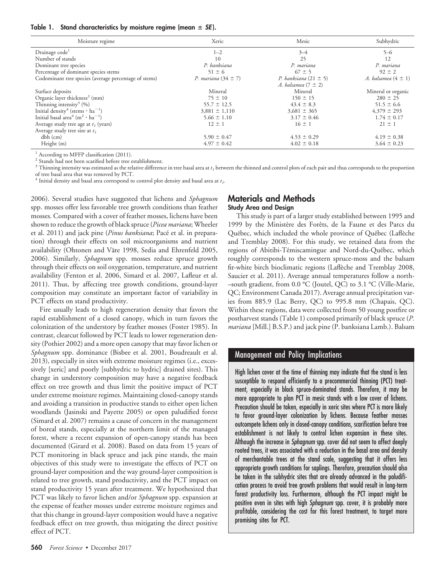Table 1. Stand characteristics by moisture regime (mean ± *SE*).

| Moisture regime                                                | Xeric                   | Mesic                     | Subhydric               |
|----------------------------------------------------------------|-------------------------|---------------------------|-------------------------|
| Drainage code <sup>1</sup>                                     | $1 - 2$                 | $3 - 4$                   | $5 - 6$                 |
| Number of stands                                               | 10                      | 25                        | 12                      |
| Dominant tree species                                          | P. banksiana            | P. mariana                | P. mariana              |
| Percentage of dominant species stems                           | $51 \pm 6$              | $67 \pm 5$                | $92 \pm 2$              |
| Codominant tree species (average percentage of stems)          | P. mariana $(34 \pm 7)$ | P. banksiana $(21 \pm 5)$ | A. balsamea $(4 \pm 1)$ |
|                                                                |                         | A. balsamea $(7 \pm 2)$   |                         |
| Surface deposits                                               | Mineral                 | Mineral                   | Mineral or organic      |
| Organic layer thickness <sup>2</sup> (mm)                      | $75 \pm 10$             | $150 \pm 15$              | $280 \pm 25$            |
| Thinning intensity <sup>3</sup> $(%)$                          | $55.7 \pm 12.5$         | $43.4 \pm 8.3$            | $51.5 \pm 6.6$          |
| Initial density <sup>4</sup> (stems $\cdot$ ha <sup>-1</sup> ) | $3,881 \pm 1,110$       | $3,681 \pm 365$           | $4,379 \pm 293$         |
| Initial basal area <sup>4</sup> ( $m^2 \cdot ha^{-1}$ )        | $5.66 \pm 1.10$         | $3.17 \pm 0.46$           | $1.74 \pm 0.17$         |
| Average study tree age at $t_1$ (years)                        | $12 \pm 1$              | $16 \pm 1$                | $21 \pm 1$              |
| Average study tree size at $t_1$                               |                         |                           |                         |
| $dbh$ (cm)                                                     | $5.90 \pm 0.47$         | $4.53 \pm 0.29$           | $4.19 \pm 0.38$         |
| Height (m)                                                     | $4.97 \pm 0.42$         | $4.02 \pm 0.18$           | $3.64 \pm 0.23$         |

<sup>1</sup> According to MFFP classification (2011).

<sup>2</sup> Stands had not been scarified before tree establishment.

<sup>3</sup> Thinning intensity was estimated as the relative difference in tree basal area at *t<sub>1</sub>* between the thinned and control plots of each pair and thus corresponds to the proportion of tree basal area that was removed by PCT.

 $^4$  Initial density and basal area correspond to control plot density and basal area at  $t_1$ .

2006). Several studies have suggested that lichens and *Sphagnum* spp. mosses offer less favorable tree growth conditions than feather mosses. Compared with a cover of feather mosses, lichens have been shown to reduce the growth of black spruce (*Picea mariana*; Wheeler et al. 2011) and jack pine (*Pinus banksiana*; Pacé et al. in preparation) through their effects on soil microorganisms and nutrient availability (Ohtonen and Väre 1998, Sedia and Ehrenfeld 2005, 2006). Similarly, *Sphagnum* spp. mosses reduce spruce growth through their effects on soil oxygenation, temperature, and nutrient availability (Fenton et al. 2006, Simard et al. 2007, Lafleur et al. 2011). Thus, by affecting tree growth conditions, ground-layer composition may constitute an important factor of variability in PCT effects on stand productivity.

Fire usually leads to high regeneration density that favors the rapid establishment of a closed canopy, which in turn favors the colonization of the understory by feather mosses (Foster 1985). In contrast, clearcut followed by PCT leads to lower regeneration density (Pothier 2002) and a more open canopy that may favor lichen or *Sphagnum* spp. dominance (Bisbee et al. 2001, Boudreault et al. 2013), especially in sites with extreme moisture regimes (i.e., excessively [xeric] and poorly [subhydric to hydric] drained sites). This change in understory composition may have a negative feedback effect on tree growth and thus limit the positive impact of PCT under extreme moisture regimes. Maintaining closed-canopy stands and avoiding a transition in productive stands to either open lichen woodlands (Jasinski and Payette 2005) or open paludified forest (Simard et al. 2007) remains a cause of concern in the management of boreal stands, especially at the northern limit of the managed forest, where a recent expansion of open-canopy stands has been documented (Girard et al. 2008). Based on data from 15 years of PCT monitoring in black spruce and jack pine stands, the main objectives of this study were to investigate the effects of PCT on ground-layer composition and the way ground-layer composition is related to tree growth, stand productivity, and the PCT impact on stand productivity 15 years after treatment. We hypothesized that PCT was likely to favor lichen and/or *Sphagnum* spp. expansion at the expense of feather mosses under extreme moisture regimes and that this change in ground-layer composition would have a negative feedback effect on tree growth, thus mitigating the direct positive effect of PCT.

## **Materials and Methods Study Area and Design**

This study is part of a larger study established between 1995 and 1999 by the Ministère des Forêts, de la Faune et des Parcs du Québec, which included the whole province of Québec (Laflèche and Tremblay 2008). For this study, we retained data from the regions of Abitibi-Témiscamingue and Nord-du-Québec, which roughly corresponds to the western spruce-moss and the balsam fir-white birch bioclimatic regions (Laflèche and Tremblay 2008, Saucier et al. 2011). Average annual temperatures follow a north- –south gradient, from 0.0 °C (Joutel, QC) to 3.1 °C (Ville-Marie, QC; Environment Canada 2017). Average annual precipitation varies from 885.9 (Lac Berry, QC) to 995.8 mm (Chapais, QC). Within these regions, data were collected from 50 young postfire or postharvest stands (Table 1) composed primarily of black spruce (*P. mariana* [Mill.] B.S.P.) and jack pine (P. banksiana Lamb.). Balsam

## Management and Policy Implications

High lichen cover at the time of thinning may indicate that the stand is less susceptible to respond efficiently to a precommercial thinning (PCT) treatment, especially in black spruce-dominated stands. Therefore, it may be more appropriate to plan PCT in mesic stands with a low cover of lichens. Precaution should be taken, especially in xeric sites where PCT is more likely to favor ground-layer colonization by lichens. Because feather mosses outcompete lichens only in closed-canopy conditions, scarification before tree establishment is not likely to control lichen expansion in these sites. Although the increase in *Sphagnum* spp. cover did not seem to affect deeply rooted trees, it was associated with a reduction in the basal area and density of merchantable trees at the stand scale, suggesting that it offers less appropriate growth conditions for saplings. Therefore, precaution should also be taken in the subhydric sites that are already advanced in the paludification process to avoid tree growth problems that would result in long-term forest productivity loss. Furthermore, although the PCT impact might be positive even in sites with high *Sphagnum* spp. cover, it is probably more profitable, considering the cost for this forest treatment, to target more promising sites for PCT.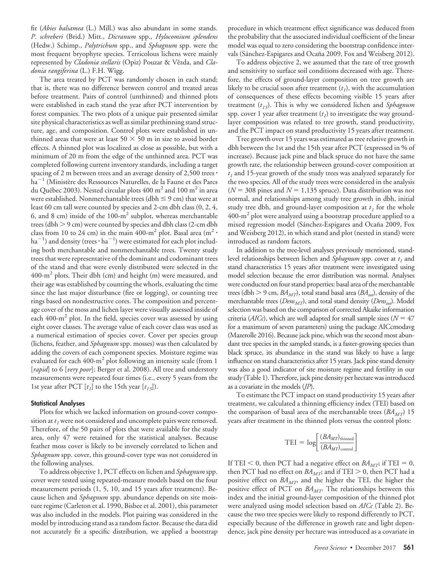fir (*Abies balsamea* (L.) Mill.) was also abundant in some stands. *P. schreberi* (Brid.) Mitt., *Dicranum* spp., *Hylocomium splendens* (Hedw.) Schimp., *Polytrichum* spp., and *Sphagnum* spp. were the most frequent bryophyte species. Terricolous lichens were mainly represented by *Cladonia stellaris* (Opiz) Pouzar & Vêzda, and *Cladonia rangiferina* (L.) F.H. Wigg.

The area treated by PCT was randomly chosen in each stand; that is, there was no difference between control and treated areas before treatment. Pairs of control (unthinned) and thinned plots were established in each stand the year after PCT intervention by forest companies. The two plots of a unique pair presented similar site physical characteristics as well as similar prethinning stand structure, age, and composition. Control plots were established in unthinned areas that were at least 50  $\times$  50 m in size to avoid border effects. A thinned plot was localized as close as possible, but with a minimum of 20 m from the edge of the unthinned area. PCT was completed following current inventory standards, including a target spacing of 2 m between trees and an average density of 2,500 trees  $\cdot$ ha<sup>-1</sup> (Ministère des Ressources Naturelles, de la Faune et des Parcs du Québec 2003). Nested circular plots  $400 \text{ m}^2$  and  $100 \text{ m}^2$  in area were established. Nonmerchantable trees (dbh  $\leq$  9 cm) that were at least 60 cm tall were counted by species and 2-cm dbh class (0, 2, 4, 6, and 8 cm) inside of the  $100-m^2$  subplot, whereas merchantable trees (dbh  $>$  9 cm) were counted by species and dbh class (2-cm dbh class from 10 to 24 cm) in the main 400-m<sup>2</sup> plot. Basal area (m<sup>2</sup> ·  $\rm{ha}^{-1}$ ) and density (trees  $\cdot$   $\rm{ha}^{-1}$ ) were estimated for each plot including both merchantable and nonmerchantable trees. Twenty study trees that were representative of the dominant and codominant trees of the stand and that were evenly distributed were selected in the  $400\text{-m}^2$  plots. Their dbh (cm) and height (m) were measured, and their age was established by counting the whorls, evaluating the time since the last major disturbance (fire or logging), or counting tree rings based on nondestructive cores. The composition and percentage cover of the moss and lichen layer were visually assessed inside of each  $400 \text{--} \text{m}^2$  plot. In the field, species cover was assessed by using eight cover classes. The average value of each cover class was used as a numerical estimation of species cover. Cover per species group (lichens, feather, and *Sphagnum* spp. mosses) was then calculated by adding the covers of each component species. Moisture regime was evaluated for each  $400 \text{--} m^2$  plot following an intensity scale (from 1 [*rapid*] to 6 [*very poor*]; Berger et al. 2008). All tree and understory measurements were repeated four times (i.e., every 5 years from the 1st year after PCT  $[t_1]$  to the 15th year  $[t_1, t_5]$ ).

#### **Statistical Analyses**

Plots for which we lacked information on ground-cover composition at  $t_1$  were not considered and uncomplete pairs were removed. Therefore, of the 50 pairs of plots that were available for the study area, only 47 were retained for the statistical analyses. Because feather moss cover is likely to be inversely correlated to lichen and *Sphagnum* spp. cover, this ground-cover type was not considered in the following analyses.

To address objective 1, PCT effects on lichen and *Sphagnum* spp. cover were tested using repeated-measure models based on the four measurement periods (1, 5, 10, and 15 years after treatment). Because lichen and *Sphagnum* spp. abundance depends on site moisture regime (Carleton et al. 1990, Bisbee et al. 2001), this parameter was also included in the models. Plot pairing was considered in the model by introducing stand as a random factor. Because the data did not accurately fit a specific distribution, we applied a bootstrap procedure in which treatment effect significance was deduced from the probability that the associated individual coefficient of the linear model was equal to zero considering the bootstrap confidence intervals (Sánchez-Espigares and Ocaña 2009, Fox and Weisberg 2012).

To address objective 2, we assumed that the rate of tree growth and sensitivity to surface soil conditions decreased with age. Therefore, the effects of ground-layer composition on tree growth are likely to be crucial soon after treatment  $(t_1)$ , with the accumulation of consequences of these effects becoming visible 15 years after treatment (*t15*). This is why we considered lichen and *Sphagnum* spp. cover 1 year after treatment  $(t_1)$  to investigate the way groundlayer composition was related to tree growth, stand productivity, and the PCT impact on stand productivity 15 years after treatment.

Tree growth over 15 years was estimated as tree relative growth in dbh between the 1st and the 15th year after PCT (expressed in % of increase). Because jack pine and black spruce do not have the same growth rate, the relationship between ground-cover composition at  $t_1$  and 15-year growth of the study trees was analyzed separately for the two species. All of the study trees were considered in the analysis  $(N = 308$  pines and  $N = 1,135$  spruce). Data distribution was not normal, and relationships among study tree growth in dbh, initial study tree dbh, and ground-layer composition at  $t_1$  for the whole  $400\text{-m}^2$  plot were analyzed using a bootstrap procedure applied to a mixed regression model (Sánchez-Espigares and Ocaña 2009, Fox and Weisberg 2012), in which stand and plot (nested in stand) were introduced as random factors.

In addition to the tree-level analyses previously mentioned, standlevel relationships between lichen and *Sphagnum* spp. cover at  $t_1$  and stand characteristics 15 years after treatment were investigated using model selection because the error distribution was normal. Analyses were conducted on four stand properties: basal area of the merchantable trees (dbh  $> 9$  cm,  $BA_{MT}$ ), total stand basal area ( $BA_{tot}$ ), density of the merchantable trees (*Dens<sub>MT</sub>*), and total stand density (*Dens<sub>tot</sub>*). Model selection was based on the comparison of corrected Akaike information criteria ( $AICc$ ), which are well adapted for small sample sizes ( $N = 47$ for a maximum of seven parameters) using the package AICcmodavg (Mazerolle 2016). Because jack pine, which was the second most abundant tree species in the sampled stands, is a faster-growing species than black spruce, its abundance in the stand was likely to have a large influence on stand characteristics after 15 years. Jack pine stand density was also a good indicator of site moisture regime and fertility in our study (Table 1). Therefore, jack pine density per hectare was introduced as a covariate in the models (*JP*).

To estimate the PCT impact on stand productivity 15 years after treatment, we calculated a thinning efficiency index (TEI) based on the comparison of basal area of the merchantable trees  $(BA_{MT})$  15 years after treatment in the thinned plots versus the control plots:

$$
TEI = log \left[ \frac{(BA_{MT})_{\text{thinned}}}{(BA_{MT})_{\text{control}}} \right]
$$

If TEI  $<$  0, then PCT had a negative effect on *BA<sub>MT</sub>*; if TEI = 0, then PCT had no effect on  $BA_{MT}$ ; and if TEI  $> 0$ , then PCT had a positive effect on *BA<sub>MT*</sub>, and the higher the TEI, the higher the positive effect of PCT on *BA<sub>MT</sub>*. The relationships between this index and the initial ground-layer composition of the thinned plot were analyzed using model selection based on *AICc* (Table 2). Because the two tree species were likely to respond differently to PCT, especially because of the difference in growth rate and light dependence, jack pine density per hectare was introduced as a covariate in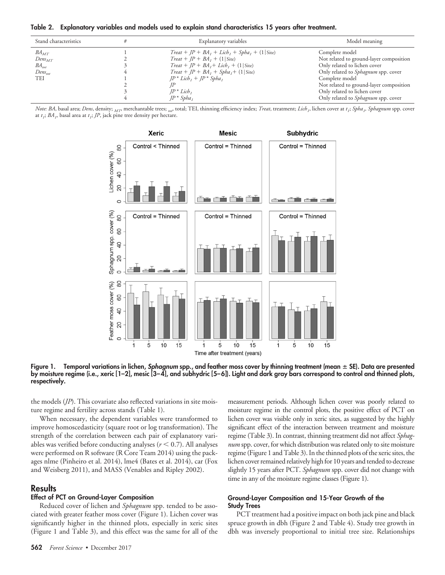**Table 2. Explanatory variables and models used to explain stand characteristics 15 years after treatment.**

| Stand characteristics | Explanatory variables                         | Model meaning                           |
|-----------------------|-----------------------------------------------|-----------------------------------------|
| $BA_{MT}$             | $Treat + JP + BA1 + Lich1 + Spha1 + (1 Site)$ | Complete model                          |
| $Dens_{MT}$           | $Treat + IP + BA_1 + (1 Site)$                | Not related to ground-layer composition |
| $BA_{tot}$            | $Treat + IP + BA1 + Lieb1 + (1 Site)$         | Only related to lichen cover            |
| $Dens_{tot}$          | $Treat + IP + BA_1 + Spha_1 + (1 Site)$       | Only related to Sphagnum spp. cover     |
| <b>TEI</b>            | $IP^*$ Lich, + $IP^*$ Spha,                   | Complete model                          |
|                       |                                               | Not related to ground-layer composition |
|                       | $IP^*$ Lich,                                  | Only related to lichen cover            |
|                       | $IP^* Spha$                                   | Only related to Sphagnum spp. cover     |

Note: BA, basal area; Dens, density;  $_{MT}$ , merchantable trees; <sub>tot</sub> total; TEI, thinning efficiency index; Treat, treatment; Lich,, lichen cover at  $t_i$ ; Spha<sub>n</sub>, Sphagnum spp. cover at  $t_1$ ;  $BA_1$ , basal area at  $t_1$ ;  $JP$ , jack pine tree density per hectare.



**Figure 1. Temporal variations in lichen,** *Sphagnum* **spp., and feather moss cover by thinning treatment (mean** - **SE). Data are presented by moisture regime (i.e., xeric [1–2], mesic [3–4], and subhydric [5–6]). Light and dark gray bars correspond to control and thinned plots, respectively.**

the models (*JP*). This covariate also reflected variations in site moisture regime and fertility across stands (Table 1).

When necessary, the dependent variables were transformed to improve homoscedasticity (square root or log transformation). The strength of the correlation between each pair of explanatory variables was verified before conducting analyses  $(r \leq 0.7)$ . All analyses were performed on R software (R Core Team 2014) using the packages nlme (Pinheiro et al. 2014), lme4 (Bates et al. 2014), car (Fox and Weisberg 2011), and MASS (Venables and Ripley 2002).

#### **Results**

## **Effect of PCT on Ground-Layer Composition**

Reduced cover of lichen and *Sphagnum* spp. tended to be associated with greater feather moss cover (Figure 1). Lichen cover was significantly higher in the thinned plots, especially in xeric sites (Figure 1 and Table 3), and this effect was the same for all of the

measurement periods. Although lichen cover was poorly related to moisture regime in the control plots, the positive effect of PCT on lichen cover was visible only in xeric sites, as suggested by the highly significant effect of the interaction between treatment and moisture regime (Table 3). In contrast, thinning treatment did not affect *Sphagnum* spp. cover, for which distribution was related only to site moisture regime (Figure 1 and Table 3). In the thinned plots of the xeric sites, the lichen cover remained relatively high for 10 years and tended to decrease slightly 15 years after PCT. *Sphagnum* spp. cover did not change with time in any of the moisture regime classes (Figure 1).

#### **Ground-Layer Composition and 15-Year Growth of the Study Trees**

PCT treatment had a positive impact on both jack pine and black spruce growth in dbh (Figure 2 and Table 4). Study tree growth in dbh was inversely proportional to initial tree size. Relationships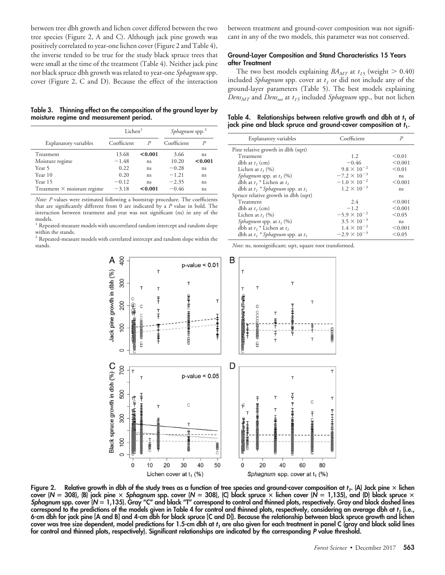between tree dbh growth and lichen cover differed between the two tree species (Figure 2, A and C). Although jack pine growth was positively correlated to year-one lichen cover (Figure 2 and Table 4), the inverse tended to be true for the study black spruce trees that were small at the time of the treatment (Table 4). Neither jack pine nor black spruce dbh growth was related to year-one *Sphagnum* spp. cover (Figure 2, C and D). Because the effect of the interaction

**Table 3. Thinning effect on the composition of the ground layer by moisture regime and measurement period.**

|                                    | Lichen <sup>1</sup> |         | Sphagnum spp. <sup>2</sup> |         |  |
|------------------------------------|---------------------|---------|----------------------------|---------|--|
| Explanatory variables              | Coefficient         |         | Coefficient                |         |  |
| Treatment                          | 13.68               | < 0.001 | 3.66                       | ns      |  |
| Moisture regime                    | $-1.48$             | ns      | 10.20                      | < 0.001 |  |
| Year 5                             | 0.22                | ns      | $-0.28$                    | ns      |  |
| Year 10                            | 0.20                | ns      | $-1.21$                    | ns      |  |
| Year 15                            | $-0.12$             | ns      | $-2.35$                    | ns      |  |
| Treatment $\times$ moisture regime | $-3.18$             | < 0.001 | $-0.46$                    | ns      |  |

*Note: P* values were estimated following a bootstrap procedure. The coefficients that are significantly different from 0 are indicated by a *P* value in bold. The interaction between treatment and year was not significant (ns) in any of the models.

<sup>1</sup> Repeated-measure models with uncorrelated random intercept and random slope within the stands.

 $^{\rm 2}$  Repeated-measure models with correlated intercept and random slope within the stands.

between treatment and ground-cover composition was not significant in any of the two models, this parameter was not conserved.

#### **Ground-Layer Composition and Stand Characteristics 15 Years after Treatment**

The two best models explaining  $BA_{MT}$  at  $t_{15}$  (weight  $> 0.40$ ) included *Sphagnum* spp. cover at  $t_1$  or did not include any of the ground-layer parameters (Table 5). The best models explaining *Dens<sub>MT</sub>* and *Dens<sub>tot</sub>* at  $t_{15}$  included *Sphagnum* spp., but not lichen

**Table 4. Relationships between relative growth and dbh at** *t***<sup>1</sup> of jack pine and black spruce and ground-cover composition at** *t***1.**

| Explanatory variables                        | Coefficient           | $\mathcal{P}$ |
|----------------------------------------------|-----------------------|---------------|
| Pine relative growth in dbh (sqrt)           |                       |               |
| Treatment                                    | 1.2                   | < 0.01        |
| dbh at $t_i$ (cm)                            | $-0.46$               | < 0.001       |
| Lichen at $t_1$ (%)                          | $9.8 \times 10^{-2}$  | < 0.01        |
| <i>Sphagnum</i> spp. at $t_1$ (%)            | $-7.2 \times 10^{-3}$ | ns.           |
| dbh at $t_i$ <sup>*</sup> Lichen at $t_i$    | $-1.0 \times 10^{-2}$ | < 0.001       |
| dbh at $t_1$ * <i>Sphagnum</i> spp. at $t_1$ | $1.2 \times 10^{-3}$  | ns.           |
| Spruce relative growth in dbh (sqrt)         |                       |               |
| Treatment                                    | 2.4                   | < 0.001       |
| dbh at $t_i$ (cm)                            | $-1.2$                | < 0.001       |
| Lichen at $t_1$ (%)                          | $-5.9 \times 10^{-2}$ | < 0.05        |
| <i>Sphagnum</i> spp. at $t_1$ (%)            | $3.5 \times 10^{-3}$  | ns.           |
| dbh at $t_i$ <sup>*</sup> Lichen at $t_i$    | $1.4 \times 10^{-2}$  | < 0.001       |
| dbh at $t_1$ * <i>Sphagnum</i> spp. at $t_1$ | $-2.9 \times 10^{-3}$ | < 0.05        |

*Note:* ns, nonsignificant; sqrt, square root transformed.



**Figure 2. Relative growth in dbh of the study trees as a function of tree species and ground-cover composition at** *t1***. (A) Jack pine lichen cover (***N* **308), (B) jack pine** *Sphagnum* **spp. cover (***N* **308), (C) black spruce lichen cover (***N* **1,135), and (D) black spruce** *Sphagnum* **spp. cover (***N* **1,135). Gray "C" and black "T" correspond to control and thinned plots, respectively. Gray and black dashed lines correspond to the predictions of the models given in Table 4 for control and thinned plots, respectively, considering an average dbh at** *t1* **(i.e., 6-cm dbh for jack pine [A and B] and 4-cm dbh for black spruce [C and D]). Because the relationship between black spruce growth and lichen** cover was tree size dependent, model predictions for 1.5-cm dbh at *t<sub>1</sub>* are also given for each treatment in panel C (gray and black solid lines **for control and thinned plots, respectively). Significant relationships are indicated by the corresponding** *P* **value threshold.**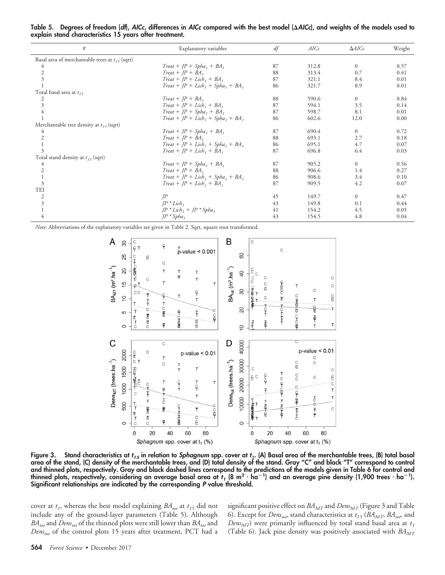| #                                                   | Explanatory variables                 | df | AICc  | $\Delta AICc$  | Weight |
|-----------------------------------------------------|---------------------------------------|----|-------|----------------|--------|
| Basal area of merchantable trees at $t_{15}$ (sqrt) |                                       |    |       |                |        |
|                                                     | $Treat + IP + Spha_1 + BA_1$          | 87 | 312.8 | $\overline{0}$ | 0.57   |
| 2                                                   | $Treat + IP + BA$ ,                   | 88 | 313.4 | 0.7            | 0.41   |
| 3                                                   | $Treat + IP + Lieb_1 + BA_1$          | 87 | 321.1 | 8.4            | 0.01   |
|                                                     | $Treat + JP + Lich1 + Spha1 + BA1$    | 86 | 321.7 | 8.9            | 0.01   |
| Total basal area at $t_{15}$                        |                                       |    |       |                |        |
| 2                                                   | $Treat + IP + BA$ ,                   | 88 | 590.6 | $\Omega$       | 0.84   |
| 3                                                   | $Treat + IP + Lieb_1 + BA_1$          | 87 | 594.1 | 3.5            | 0.14   |
|                                                     | $Treat + IP + Spha_1 + BA_1$          | 87 | 598.7 | 8.1            | 0.01   |
|                                                     | $Treat + JP + Lieb_1 + Spha_1 + BA_1$ | 86 | 602.6 | 12.0           | 0.00   |
| Merchantable tree density at $t_{15}$ (sqrt)        |                                       |    |       |                |        |
| 4                                                   | $Treat + IP + Spha_1 + BA_1$          | 87 | 690.4 | $\mathbf{0}$   | 0.72   |
|                                                     | $Treat + IP + BA$ ,                   | 88 | 693.1 | 2.7            | 0.18   |
|                                                     | $Treat + JP + Lich1 + Spha1 + BA1$    | 86 | 695.1 | 4.7            | 0.07   |
| 3                                                   | $Treat + IP + Lieb, + BA,$            | 87 | 696.8 | 6.4            | 0.03   |
| Total stand density at $t_{15}$ (sqrt)              |                                       |    |       |                |        |
| 4                                                   | $Treat + JP + Spha_1 + BA_1$          | 87 | 905.2 | $\Omega$       | 0.56   |
|                                                     | $Treat + IP + BA$ ,                   | 88 | 906.6 | 1.4            | 0.27   |
|                                                     | $Treat + JP + Lieb1 + Spha1 + BA1$    | 86 | 908.6 | 3.4            | 0.10   |
| 3                                                   | $Treat + IP + Lieb_1 + BA_1$          | 87 | 909.5 | 4.2            | 0.07   |
| TEI                                                 |                                       |    |       |                |        |
| 2                                                   | IP                                    | 45 | 149.7 | $\mathbf{0}$   | 0.47   |
| $\overline{3}$                                      | $IP * Liebt$                          | 43 | 149.8 | 0.1            | 0.44   |
|                                                     | $IP * Lich$ , + $IP * Spha$ ,         | 41 | 154.2 | 4.5            | 0.05   |
| 4                                                   | $JP * SphaI$                          | 43 | 154.5 | 4.8            | 0.04   |
|                                                     |                                       |    |       |                |        |

**Table 5. Degrees of freedom (***df***),** *AICc***, differences in** *AICc* **compared with the best model (***AICc***), and weights of the models used to explain stand characteristics 15 years after treatment.**

*Note:* Abbreviations of the explanatory variables are given in Table 2. Sqrt, square root transformed.



Figure 3. Stand characteristics at  $t_{15}$  in relation to *Sphagnum* spp. cover at  $t_1$ . (A) Basal area of the merchantable trees, (B) total basal **area of the stand, (C) density of the merchantable trees, and (D) total density of the stand. Gray "C" and black "T" correspond to control** and thinned plots, respectively. Gray and black dashed lines correspond to the predictions of the models given in Table 6 for control and<br>thinned plots, respectively, considering an average basal area at  $t_1$  (8 m<sup>2</sup> · h **Significant relationships are indicated by the corresponding** *P* **value threshold.**

cover at  $t_1$ , whereas the best model explaining  $BA_{tot}$  at  $t_{15}$  did not include any of the ground-layer parameters (Table 5). Although  $BA_{tot}$  and  $Dens_{tot}$  of the thinned plots were still lower than  $BA_{tot}$  and *Denstot* of the control plots 15 years after treatment, PCT had a significant positive effect on *BA<sub>MT</sub>* and *Dens<sub>MT</sub>* (Figure 3 and Table 6). Except for *Dens<sub>tot</sub>*, stand characteristics at  $t_{15}$  (*BA<sub>MT</sub>*, *BA<sub>tot</sub>*, and *Dens<sub>MT</sub>*) were primarily influenced by total stand basal area at  $t_1$ (Table 6). Jack pine density was positively associated with  $BA_{MT}$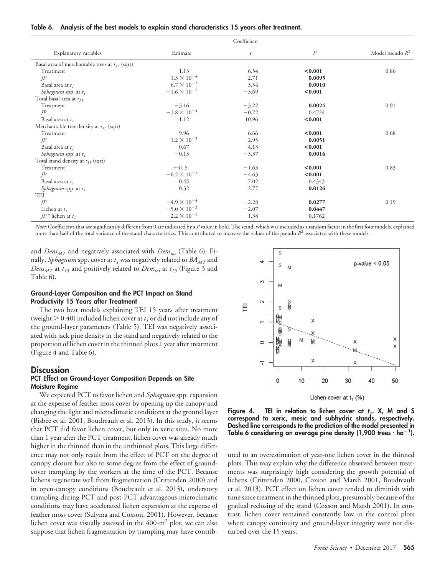|                                                     |                       | Coefficient      |                  |                    |
|-----------------------------------------------------|-----------------------|------------------|------------------|--------------------|
| Explanatory variables                               | Estimate              | $\boldsymbol{t}$ | $\boldsymbol{P}$ | Model pseudo $R^2$ |
| Basal area of merchantable trees at $t_{15}$ (sqrt) |                       |                  |                  |                    |
| Treatment                                           | 1.13                  | 6.54             | < 0.001          | 0.86               |
| IP                                                  | $1.3 \times 10^{-4}$  | 2.71             | 0.0095           |                    |
| Basal area at $t_1$                                 | $6.7 \times 10^{-2}$  | 3.54             | 0.0010           |                    |
| <i>Sphagnum</i> spp. at $t_1$                       | $-1.6 \times 10^{-2}$ | $-3.69$          | < 0.001          |                    |
| Total basal area at $t_{15}$                        |                       |                  |                  |                    |
| Treatment                                           | $-3.16$               | $-3.22$          | 0.0024           | 0.91               |
| IP                                                  | $-1.8 \times 10^{-4}$ | $-0.72$          | 0.4724           |                    |
| Basal area at $t_1$                                 | 1.12                  | 10.96            | < 0.001          |                    |
| Merchantable tree density at $t_{15}$ (sqrt)        |                       |                  |                  |                    |
| Treatment                                           | 9.96                  | 6.66             | < 0.001          | 0.68               |
| IP                                                  | $1.2 \times 10^{-3}$  | 2.95             | 0.0051           |                    |
| Basal area at $t_1$                                 | 0.67                  | 4.13             | < 0.001          |                    |
| Sphagnum spp. at $t_1$                              | $-0.13$               | $-3.37$          | 0.0016           |                    |
| Total stand density at $t_{15}$ (sqrt)              |                       |                  |                  |                    |
| Treatment                                           | $-41.5$               | $-1.63$          | < 0.001          | 0.83               |
| $J^p$                                               | $-6.2 \times 10^{-3}$ | $-4.63$          | < 0.001          |                    |
| Basal area at $t_1$                                 | 0.45                  | 7.02             | 0.4343           |                    |
| Sphagnum spp. at $t_1$                              | 0.32                  | 2.77             | 0.0126           |                    |
| <b>TEI</b>                                          |                       |                  |                  |                    |
| IP                                                  | $-4.9 \times 10^{-4}$ | $-2.28$          | 0.0277           | 0.19               |
| Lichen at $t_1$                                     | $-5.0 \times 10^{-2}$ | $-2.07$          | 0.0447           |                    |
| $IP^*$ lichen at $t_1$                              | $2.2 \times 10^{-5}$  | 1.38             | 0.1762           |                    |

*Note:*Coefficients that are significantly different from 0 are indicated by a *P* value in bold. The stand, which was included as a random factor in the first four models, explained more than half of the total variance of the stand characteristics. This contributed to increase the values of the pseudo  $R^2$  associated with these models.

and *Dens<sub>MT</sub>* and negatively associated with *Dens<sub>tot</sub>* (Table 6). Finally, *Sphagnum* spp. cover at  $t_1$  was negatively related to  $BA_{MT}$  and *Dens<sub>MT</sub>* at  $t_{15}$  and positively related to *Dens<sub>tot</sub>* at  $t_{15}$  (Figure 3 and Table 6).

## **Ground-Layer Composition and the PCT Impact on Stand Productivity 15 Years after Treatment**

The two best models explaining TEI 15 years after treatment (weight  $> 0.40$ ) included lichen cover at  $t<sub>I</sub>$  or did not include any of the ground-layer parameters (Table 5). TEI was negatively associated with jack pine density in the stand and negatively related to the proportion of lichen cover in the thinned plots 1 year after treatment (Figure 4 and Table 6).

#### **Discussion**

#### **PCT Effect on Ground-Layer Composition Depends on Site Moisture Regime**

We expected PCT to favor lichen and *Sphagnum* spp. expansion at the expense of feather moss cover by opening up the canopy and changing the light and microclimatic conditions at the ground layer (Bisbee et al. 2001, Boudreault et al. 2013). In this study, it seems that PCT did favor lichen cover, but only in xeric sites. No more than 1 year after the PCT treatment, lichen cover was already much higher in the thinned than in the unthinned plots. This large difference may not only result from the effect of PCT on the degree of canopy closure but also to some degree from the effect of groundcover trampling by the workers at the time of the PCT. Because lichens regenerate well from fragmentation (Crittenden 2000) and in open-canopy conditions (Boudreault et al. 2013), understory trampling during PCT and post-PCT advantageous microclimatic conditions may have accelerated lichen expansion at the expense of feather moss cover (Sulyma and Coxson, 2001). However, because lichen cover was visually assessed in the  $400 \text{--} m^2$  plot, we can also suppose that lichen fragmentation by trampling may have contrib-



Lichen cover at  $t_1$  (%)

Figure 4. TEI in relation to lichen cover at  $t_1$ . X, M and S **correspond to xeric, mesic and subhydric stands, respectively. Dashed line corresponds to the prediction of the model presented in Table 6 considering an average pine density (1,900 trees** - **ha<sup>1</sup> ).**

uted to an overestimation of year-one lichen cover in the thinned plots. This may explain why the difference observed between treatments was surprisingly high considering the growth potential of lichens (Crittenden 2000, Coxson and Marsh 2001, Boudreault et al. 2013). PCT effect on lichen cover tended to diminish with time since treatment in the thinned plots, presumably because of the gradual reclosing of the stand (Coxson and Marsh 2001). In contrast, lichen cover remained constantly low in the control plots where canopy continuity and ground-layer integrity were not disturbed over the 15 years.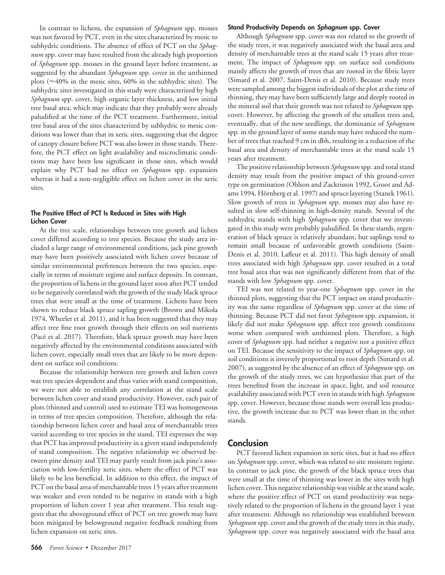In contrast to lichens, the expansion of *Sphagnum* spp. mosses was not favored by PCT, even in the sites characterized by mesic to subhydric conditions. The absence of effect of PCT on the *Sphagnum* spp. cover may have resulted from the already high proportion of *Sphagnum* spp. mosses in the ground layer before treatment, as suggested by the abundant *Sphagnum* spp. cover in the unthinned plots ( 40% in the mesic sites, 60% in the subhydric sites). The subhydric sites investigated in this study were characterized by high *Sphagnum* spp. cover, high organic layer thickness, and low initial tree basal area, which may indicate that they probably were already paludified at the time of the PCT treatment. Furthermore, initial tree basal area of the sites characterized by subhydric to mesic conditions was lower than that in xeric sites, suggesting that the degree of canopy closure before PCT was also lower in those stands. Therefore, the PCT effect on light availability and microclimatic conditions may have been less significant in those sites, which would explain why PCT had no effect on *Sphagnum* spp. expansion whereas it had a non-negligible effect on lichen cover in the xeric sites.

#### **The Positive Effect of PCT Is Reduced in Sites with High Lichen Cover**

At the tree scale, relationships between tree growth and lichen cover differed according to tree species. Because the study area included a large range of environmental conditions, jack pine growth may have been positively associated with lichen cover because of similar environmental preferences between the two species, especially in terms of moisture regime and surface deposits. In contrast, the proportion of lichens in the ground layer soon after PCT tended to be negatively correlated with the growth of the study black spruce trees that were small at the time of treatment. Lichens have been shown to reduce black spruce sapling growth (Brown and Mikola 1974, Wheeler et al. 2011), and it has been suggested that they may affect tree fine root growth through their effects on soil nutrients (Pacé et al. 2017). Therefore, black spruce growth may have been negatively affected by the environmental conditions associated with lichen cover, especially small trees that are likely to be more dependent on surface soil conditions.

Because the relationship between tree growth and lichen cover was tree species dependent and thus varies with stand composition, we were not able to establish any correlation at the stand scale between lichen cover and stand productivity. However, each pair of plots (thinned and control) used to estimate TEI was homogeneous in terms of tree species composition. Therefore, although the relationship between lichen cover and basal area of merchantable trees varied according to tree species in the stand, TEI expresses the way that PCT has improved productivity in a given stand independently of stand composition. The negative relationship we observed between pine density and TEI may partly result from jack pine's association with low-fertility xeric sites, where the effect of PCT was likely to be less beneficial. In addition to this effect, the impact of PCT on the basal area of merchantable trees 15 years after treatment was weaker and even tended to be negative in stands with a high proportion of lichen cover 1 year after treatment. This result suggests that the aboveground effect of PCT on tree growth may have been mitigated by belowground negative feedback resulting from lichen expansion on xeric sites.

#### **Stand Productivity Depends on** *Sphagnum* **spp. Cover**

Although *Sphagnum* spp. cover was not related to the growth of the study trees, it was negatively associated with the basal area and density of merchantable trees at the stand scale 15 years after treatment. The impact of *Sphagnum* spp. on surface soil conditions mainly affects the growth of trees that are rooted in the fibric layer (Simard et al. 2007, Saint-Denis et al. 2010). Because study trees were sampled among the biggest individuals of the plot at the time of thinning, they may have been sufficiently large and deeply rooted in the mineral soil that their growth was not related to *Sphagnum* spp. cover. However, by affecting the growth of the smallest trees and, eventually, that of the new seedlings, the dominance of *Sphagnum* spp. in the ground layer of some stands may have reduced the number of trees that reached 9 cm in dbh, resulting in a reduction of the basal area and density of merchantable trees at the stand scale 15 years after treatment.

The positive relationship between *Sphagnum* spp. and total stand density may result from the positive impact of this ground-cover type on germination (Ohlson and Zackrisson 1992, Groot and Adams 1994, Hörnberg et al. 1997) and spruce layering (Stanek 1961). Slow growth of trees in *Sphagnum* spp. mosses may also have resulted in slow self-thinning in high-density stands. Several of the subhydric stands with high *Sphagnum* spp. cover that we investigated in this study were probably paludified. In these stands, regeneration of black spruce is relatively abundant, but saplings tend to remain small because of unfavorable growth conditions (Saint-Denis et al. 2010, Lafleur et al. 2011). This high density of small trees associated with high *Sphagnum* spp. cover resulted in a total tree basal area that was not significantly different from that of the stands with low *Sphagnum* spp. cover.

TEI was not related to year-one *Sphagnum* spp. cover in the thinned plots, suggesting that the PCT impact on stand productivity was the same regardless of *Sphagnum* spp. cover at the time of thinning. Because PCT did not favor *Sphagnum* spp. expansion, it likely did not make *Sphagnum* spp. affect tree growth conditions worse when compared with unthinned plots. Therefore, a high cover of *Sphagnum* spp. had neither a negative nor a positive effect on TEI. Because the sensitivity to the impact of *Sphagnum* spp. on soil conditions is inversely proportional to root depth (Simard et al. 2007), as suggested by the absence of an effect of *Sphagnum* spp. on the growth of the study trees, we can hypothesize that part of the trees benefited from the increase in space, light, and soil resource availability associated with PCT even in stands with high *Sphagnum* spp. cover. However, because those stands were overall less productive, the growth increase due to PCT was lower than in the other stands.

# **Conclusion**

PCT favored lichen expansion in xeric sites, but it had no effect on *Sphagnum* spp. cover, which was related to site moisture regime. In contrast to jack pine, the growth of the black spruce trees that were small at the time of thinning was lower in the sites with high lichen cover. This negative relationship was visible at the stand scale, where the positive effect of PCT on stand productivity was negatively related to the proportion of lichens in the ground layer 1 year after treatment. Although no relationship was established between *Sphagnum* spp. cover and the growth of the study trees in this study, *Sphagnum* spp. cover was negatively associated with the basal area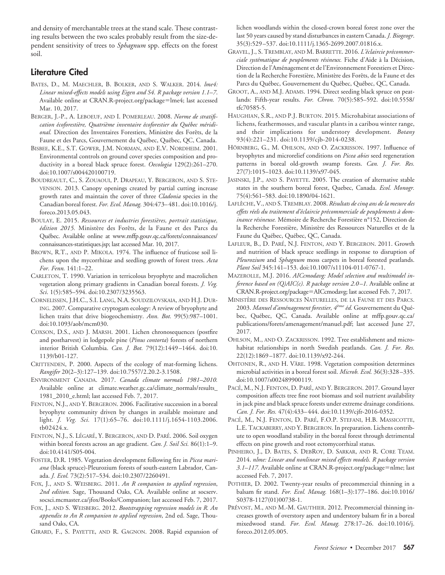and density of merchantable trees at the stand scale. These contrasting results between the two scales probably result from the size-dependent sensitivity of trees to *Sphagnum* spp. effects on the forest soil.

# **Literature Cited**

- BATES, D., M. MAECHLER, B. BOLKER, AND S. WALKER. 2014*. lme4: Linear mixed-effects models using Eigen and S4. R package version 1.1–7*. Available online at [CRAN.R-project.org/package](http://CRAN.R-project.org/package=lme4)=lme4; last accessed Mar. 10, 2017.
- BERGER, J.-P., A. LEBOEUF, AND I. POMERLEAU. 2008. *Norme de stratifi*cation écoforestière, Quatrième inventaire écoforestier du Québec méridional. Direction des Inventaires Forestiers, Ministère des Forêts, de la Faune et des Parcs, Gouvernement du Québec, Québec, QC, Canada.
- BISBEE, K.E., S.T. GOWER, J.M. NORMAN, AND E.V. NORDHEIM. 2001. Environmental controls on ground cover species composition and productivity in a boreal black spruce forest. *Oecologia* 129(2):261–270. doi[:10.1007/s004420100719.](http://dx.doi.org/10.1007/s004420100719)
- BOUDREAULT, C., S. ZOUAOUI, P. DRAPEAU, Y. BERGERON, AND S. STE-VENSON. 2013. Canopy openings created by partial cutting increase growth rates and maintain the cover of three *Cladonia* species in the Canadian boreal forest. *For. Ecol. Manag.* 304:473– 481. doi[:10.1016/j.](http://dx.doi.org/10.1016/j.foreco.2013.05.043) [foreco.2013.05.043.](http://dx.doi.org/10.1016/j.foreco.2013.05.043)
- BOULAY, E. 2015. *Ressources et industries forestie`res, portrait statistique,* édition 2015. Ministère des Forêts, de la Faune et des Parcs du Québec. Available online at [www.mffp.gouv.qc.ca/forets/connaissances/](http://www.mffp.gouv.qc.ca/forets/connaissances/connaissances-statistiques.jsp) [connaissances-statistiques.jsp;](http://www.mffp.gouv.qc.ca/forets/connaissances/connaissances-statistiques.jsp) last accessed Mar. 10, 2017.
- BROWN, R.T., AND P. MIKOLA. 1974. The influence of fruticose soil lichens upon the mycorrhizae and seedling growth of forest trees. *Acta For. Fenn.* 141:1–22.
- CARLETON, T. 1990. Variation in terricolous bryophyte and macrolichen vegetation along primary gradients in Canadian boreal forests. *J. Veg. Sci*. 1(5):585–594. doi[:10.2307/3235563.](http://dx.doi.org/10.2307/3235563)
- CORNELISSEN, J.H.C., S.I. LANG, N.A. SOUDZILOVSKAIA, AND H.J. DUR-ING. 2007. Comparative cryptogam ecology: A review of bryophyte and lichen traits that drive biogeochemistry. *Ann. Bot.* 99(5):987–1001. doi[:10.1093/aob/mcm030.](http://dx.doi.org/10.1093/aob/mcm030)
- COXSON, D.S., AND J. MARSH. 2001. Lichen chronosequences (postfire and postharvest) in lodgepole pine (*Pinus contorta*) forests of northern interior British Columbia. *Can. J. Bot.* 79(12):1449 –1464. doi[:10.](http://dx.doi.org/10.1139/b01-127) [1139/b01-127.](http://dx.doi.org/10.1139/b01-127)
- CRITTENDEN, P. 2000. Aspects of the ecology of mat-forming lichens. *Rangifer* 20(2–3):127–139. doi[:10.7557/2.20.2-3.1508.](http://dx.doi.org/10.7557/2.20.2-3.1508)
- ENVIRONMENT CANADA. 2017. *Canada climate normals 1981–2010.* Available online at [climate.weather.gc.ca/climate\\_normals/results\\_](http://climate.weather.gc.ca/climate_normals/results_1981_2010_e.html) [1981\\_2010\\_e.html;](http://climate.weather.gc.ca/climate_normals/results_1981_2010_e.html) last accessed Feb. 7, 2017.
- FENTON, N.J., AND Y. BERGERON. 2006. Facilitative succession in a boreal bryophyte community driven by changes in available moisture and light. *J. Veg. Sci.* 17(1):65–76. doi[:10.1111/j.1654-1103.2006.](http://dx.doi.org/10.1111/j.1654-1103.2006.tb02424.x) [tb02424.x.](http://dx.doi.org/10.1111/j.1654-1103.2006.tb02424.x)
- FENTON, N.J., S. LÉGARÉ, Y. BERGERON, AND D. PARÉ. 2006. Soil oxygen within boreal forests across an age gradient. *Can. J. Soil Sci.* 86(1):1–9. doi[:10.4141/S05-004.](http://dx.doi.org/10.4141/S05-004)
- FOSTER, D.R. 1985. Vegetation development following fire in *Picea mariana* (black spruce)-Pleurozium forests of south-eastern Labrador, Canada. *J. Ecol.* 73(2):517–534. doi[:10.2307/2260491.](http://dx.doi.org/10.2307/2260491)
- FOX, J., AND S. WEISBERG. 2011. *An R companion to applied regression*, *2nd edition.* Sage, Thousand Oaks, CA. Available online at [socserv.](http://socserv.socsci.mcmaster.ca/jfox/Books/Companion) [socsci.mcmaster.ca/jfox/Books/Companion;](http://socserv.socsci.mcmaster.ca/jfox/Books/Companion) last accessed Feb. 7, 2017.
- FOX, J., AND S. WEISBERG. 2012. *Bootstrapping regression models in R. An appendix to An R companion to applied regression*, 2nd ed. Sage, Thousand Oaks, CA.
- GIRARD, F., S. PAYETTE, AND R. GAGNON. 2008. Rapid expansion of

lichen woodlands within the closed-crown boreal forest zone over the last 50 years caused by stand disturbances in eastern Canada. *J. Biogeogr*. 35(3):529 –537. doi[:10.1111/j.1365-2699.2007.01816.x.](http://dx.doi.org/10.1111/j.1365-2699.2007.01816.x)

- GRAVEL, J., S. TREMBLAY, AND M. BARRETTE. 2016. L'éclaircie précommerciale systématique de peuplements résineux. Fiche d'Aide à la Décision, Direction de l'Aménagement et de l'Environnement Forestiers et Direction de la Recherche Forestière, Ministère des Forêts, de la Faune et des Parcs du Québec, Gouvernement du Québec, Québec, QC, Canada.
- GROOT, A., AND M.J. ADAMS. 1994. Direct seeding black spruce on peatlands: Fifth-year results. *For. Chron.* 70(5):585–592. doi[:10.5558/](http://dx.doi.org/10.5558/tfc70585-5) [tfc70585-5.](http://dx.doi.org/10.5558/tfc70585-5)
- HAUGHIAN, S.R., AND P.J. BURTON. 2015. Microhabitat associations of lichens, feathermosses, and vascular plants in a caribou winter range, and their implications for understory development. *Botany* 93(4):221–231. doi[:10.1139/cjb-2014-0238.](http://dx.doi.org/10.1139/cjb-2014-0238)
- HÖRNBERG, G., M. OHLSON, AND O. ZACKRISSON. 1997. Influence of bryophytes and microrelief conditions on *Picea abies* seed regeneration patterns in boreal old-growth swamp forests. *Can. J. For. Res.* 27(7):1015–1023. doi[:10.1139/x97-045.](http://dx.doi.org/10.1139/x97-045)
- JASINSKI, J.P., AND S. PAYETTE. 2005. The creation of alternative stable states in the southern boreal forest, Quebec, Canada. *Ecol. Monogr.* 75(4):561–583. doi[:10.1890/04-1621.](http://dx.doi.org/10.1890/04-1621)
- LAFLÈCHE, V., AND S. TREMBLAY. 2008. *Résultats de cinq ans de la mesure des* effets réels du traitement d'éclaircie précommerciale de peuplements à dom*inance résineuse*. Mémoire de Recherche Forestière n°152, Direction de la Recherche Forestière, Ministère des Ressources Naturelles et de la Faune du Québec, Québec, QC, Canada.
- LAFLEUR, B., D. PARÉ, N.J. FENTON, AND Y. BERGERON. 2011. Growth and nutrition of black spruce seedlings in response to disruption of *Pleurozium* and *Sphagnum* moss carpets in boreal forested peatlands. *Plant Soil* 345:141–153. doi[:10.1007/s11104-011-0767-1.](http://dx.doi.org/10.1007/s11104-011-0767-1)
- MAZEROLLE, M.J. 2016. *AICcmodavg: Model selection and multimodel inference based on (Q)AIC(c). R package version 2.0–1.* Available online at [CRAN.R-project.org/package](http://CRAN.R-project.org/package=AICcmodavg)=AICcmodavg; last accessed Feb. 7, 2017.
- MINISTÈRE DES RESSOURCES NATURELLES, DE LA FAUNE ET DES PARCS. 2003. Manuel d'aménagement forestier, 4<sup>ème</sup> éd. Gouvernement du Québec, Québec, QC, Canada. Available online at [mffp.gouv.qc.ca/](http://mffp.gouv.qc.ca/publications/forets/amenagement/manuel.pdf) [publications/forets/amenagement/manuel.pdf;](http://mffp.gouv.qc.ca/publications/forets/amenagement/manuel.pdf) last accessed June 27, 2017.
- OHLSON, M., AND O. ZACKRISSON. 1992. Tree establishment and microhabitat relationships in north Swedish peatlands. *Can. J. For. Res.* 22(12):1869 –1877. doi[:10.1139/x92-244.](http://dx.doi.org/10.1139/x92-244)
- OHTONEN, R., AND H. VÄRE. 1998. Vegetation composition determines microbial activities in a boreal forest soil. *Microb. Ecol.* 36(3):328 –335. doi[:10.1007/s002489900119.](http://dx.doi.org/10.1007/s002489900119)
- PACÉ, M., N.J. FENTON, D. PARÉ, AND Y. BERGERON. 2017. Ground layer composition affects tree fine root biomass and soil nutrient availability in jack pine and black spruce forests under extreme drainage conditions. *Can. J. For. Res.* 47(4):433– 444. doi[:10.1139/cjfr-2016-0352.](http://dx.doi.org/10.1139/cjfr-2016-0352)
- PACÉ, M., N.J. FENTON, D. PARÉ, F.O.P. STEFANI, H.B. MASSICOTTE, L.E. TACKABERRY, AND Y. BERGERON. In preparation. Lichens contribute to open woodland stability in the boreal forest through detrimental effects on pine growth and root ectomycorrhizal status.
- PINHEIRO, J., D. BATES, S. DEBROY, D. SARKAR, AND R. CORE TEAM. 2014. *nlme: Linear and nonlinear mixed effects models. R package version* 3.1–117. Available online at [CRAN.R-project.org/package](http://CRAN.R-project.org/package=nlme)=nlme; last accessed Feb. 7, 2017.
- POTHIER, D. 2002. Twenty-year results of precommercial thinning in a balsam fir stand. *For. Ecol. Manag.* 168(1–3):177–186. doi[:10.1016/](http://dx.doi.org/10.1016/S0378-1127(01)00738-1) [S0378-1127\(01\)00738-1.](http://dx.doi.org/10.1016/S0378-1127(01)00738-1)
- PRÉVOST, M., AND M.-M. GAUTHIER. 2012. Precommercial thinning increases growth of overstory aspen and understory balsam fir in a boreal mixedwood stand. *For. Ecol. Manag.* 278:17–26. doi[:10.1016/j.](http://dx.doi.org/10.1016/j.foreco.2012.05.005) [foreco.2012.05.005.](http://dx.doi.org/10.1016/j.foreco.2012.05.005)